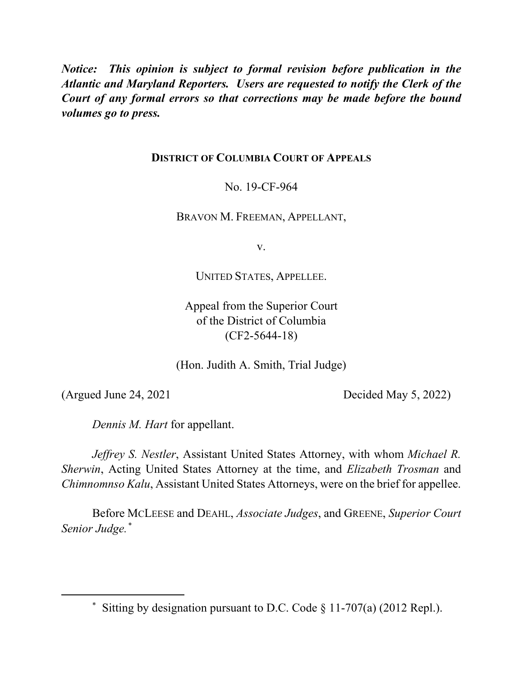*Notice: This opinion is subject to formal revision before publication in the Atlantic and Maryland Reporters. Users are requested to notify the Clerk of the Court of any formal errors so that corrections may be made before the bound volumes go to press.*

## **DISTRICT OF COLUMBIA COURT OF APPEALS**

No. 19-CF-964

BRAVON M. FREEMAN, APPELLANT,

v.

UNITED STATES, APPELLEE.

Appeal from the Superior Court of the District of Columbia (CF2-5644-18)

(Hon. Judith A. Smith, Trial Judge)

 $\overline{a}$ 

(Argued June 24, 2021 Decided May 5, 2022)

*Dennis M. Hart* for appellant.

*Jeffrey S. Nestler*, Assistant United States Attorney, with whom *Michael R. Sherwin*, Acting United States Attorney at the time, and *Elizabeth Trosman* and *Chimnomnso Kalu*, Assistant United States Attorneys, were on the brief for appellee.

Before MCLEESE and DEAHL, *Associate Judges*, and GREENE, *Superior Court Senior Judge.\**

<sup>\*</sup> Sitting by designation pursuant to D.C. Code  $\S$  11-707(a) (2012 Repl.).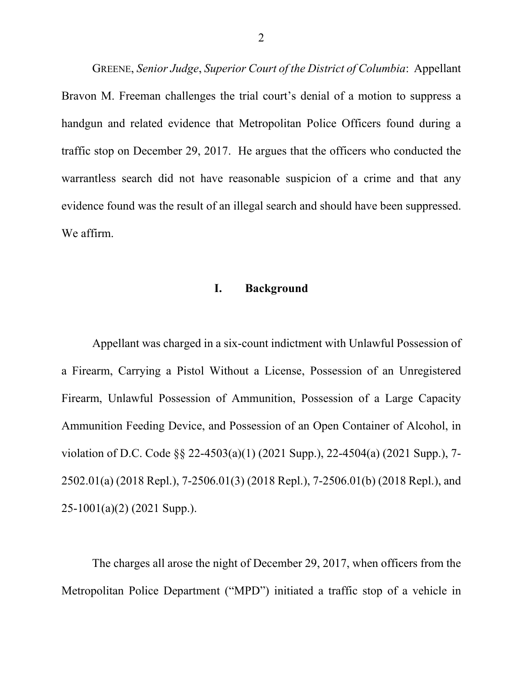GREENE, *Senior Judge*, *Superior Court of the District of Columbia*: Appellant Bravon M. Freeman challenges the trial court's denial of a motion to suppress a handgun and related evidence that Metropolitan Police Officers found during a traffic stop on December 29, 2017. He argues that the officers who conducted the warrantless search did not have reasonable suspicion of a crime and that any evidence found was the result of an illegal search and should have been suppressed. We affirm.

### **I. Background**

Appellant was charged in a six-count indictment with Unlawful Possession of a Firearm, Carrying a Pistol Without a License, Possession of an Unregistered Firearm, Unlawful Possession of Ammunition, Possession of a Large Capacity Ammunition Feeding Device, and Possession of an Open Container of Alcohol, in violation of D.C. Code §§ 22-4503(a)(1) (2021 Supp.), 22-4504(a) (2021 Supp.), 7- 2502.01(a) (2018 Repl.), 7-2506.01(3) (2018 Repl.), 7-2506.01(b) (2018 Repl.), and 25-1001(a)(2) (2021 Supp.).

The charges all arose the night of December 29, 2017, when officers from the Metropolitan Police Department ("MPD") initiated a traffic stop of a vehicle in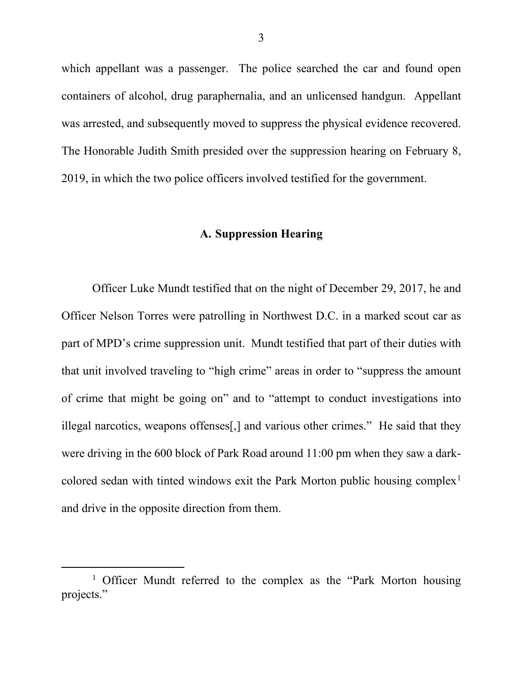which appellant was a passenger. The police searched the car and found open containers of alcohol, drug paraphernalia, and an unlicensed handgun. Appellant was arrested, and subsequently moved to suppress the physical evidence recovered. The Honorable Judith Smith presided over the suppression hearing on February 8, 2019, in which the two police officers involved testified for the government.

## **A. Suppression Hearing**

Officer Luke Mundt testified that on the night of December 29, 2017, he and Officer Nelson Torres were patrolling in Northwest D.C. in a marked scout car as part of MPD's crime suppression unit. Mundt testified that part of their duties with that unit involved traveling to "high crime" areas in order to "suppress the amount of crime that might be going on" and to "attempt to conduct investigations into illegal narcotics, weapons offenses[,] and various other crimes." He said that they were driving in the 600 block of Park Road around 11:00 pm when they saw a darkcolored sedan with tinted windows exit the Park Morton public housing complex<sup>1</sup> and drive in the opposite direction from them.

<sup>&</sup>lt;sup>1</sup> Officer Mundt referred to the complex as the "Park Morton housing projects."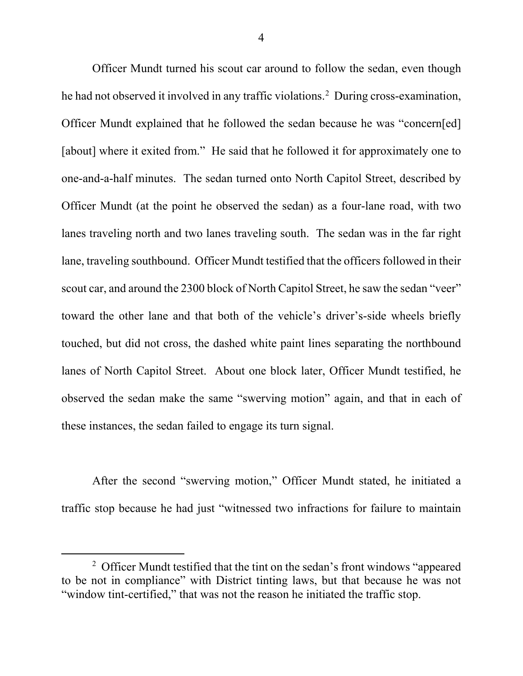Officer Mundt turned his scout car around to follow the sedan, even though he had not observed it involved in any traffic violations.2 During cross-examination, Officer Mundt explained that he followed the sedan because he was "concern[ed] [about] where it exited from." He said that he followed it for approximately one to one-and-a-half minutes. The sedan turned onto North Capitol Street, described by Officer Mundt (at the point he observed the sedan) as a four-lane road, with two lanes traveling north and two lanes traveling south. The sedan was in the far right lane, traveling southbound.Officer Mundt testified that the officers followed in their scout car, and around the 2300 block of North Capitol Street, he saw the sedan "veer" toward the other lane and that both of the vehicle's driver's-side wheels briefly touched, but did not cross, the dashed white paint lines separating the northbound lanes of North Capitol Street. About one block later, Officer Mundt testified, he observed the sedan make the same "swerving motion" again, and that in each of these instances, the sedan failed to engage its turn signal.

After the second "swerving motion," Officer Mundt stated, he initiated a traffic stop because he had just "witnessed two infractions for failure to maintain

<sup>&</sup>lt;sup>2</sup> Officer Mundt testified that the tint on the sedan's front windows "appeared" to be not in compliance" with District tinting laws, but that because he was not "window tint-certified," that was not the reason he initiated the traffic stop.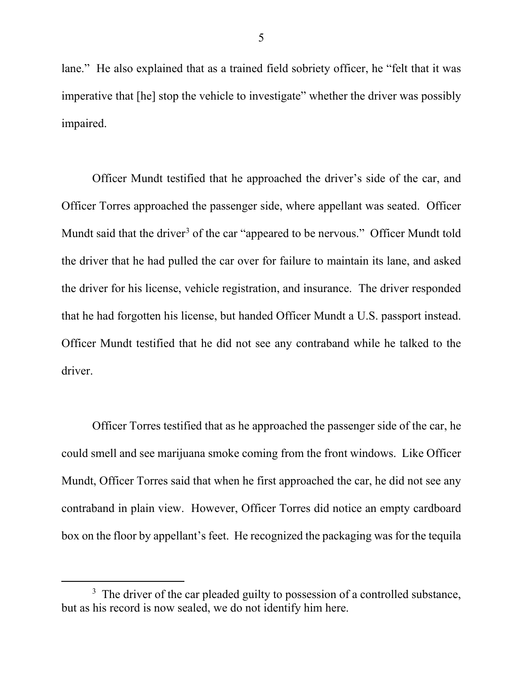lane." He also explained that as a trained field sobriety officer, he "felt that it was imperative that [he] stop the vehicle to investigate" whether the driver was possibly impaired.

Officer Mundt testified that he approached the driver's side of the car, and Officer Torres approached the passenger side, where appellant was seated. Officer Mundt said that the driver<sup>3</sup> of the car "appeared to be nervous." Officer Mundt told the driver that he had pulled the car over for failure to maintain its lane, and asked the driver for his license, vehicle registration, and insurance. The driver responded that he had forgotten his license, but handed Officer Mundt a U.S. passport instead. Officer Mundt testified that he did not see any contraband while he talked to the driver.

Officer Torres testified that as he approached the passenger side of the car, he could smell and see marijuana smoke coming from the front windows. Like Officer Mundt, Officer Torres said that when he first approached the car, he did not see any contraband in plain view. However, Officer Torres did notice an empty cardboard box on the floor by appellant's feet. He recognized the packaging was for the tequila

 $3\text{ The driver of the car pleased guilty to possession of a controlled substance,}$ but as his record is now sealed, we do not identify him here.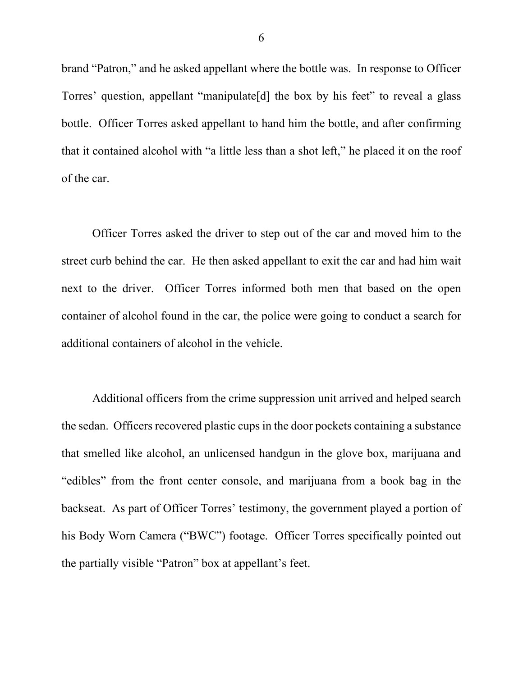brand "Patron," and he asked appellant where the bottle was. In response to Officer Torres' question, appellant "manipulate[d] the box by his feet" to reveal a glass bottle. Officer Torres asked appellant to hand him the bottle, and after confirming that it contained alcohol with "a little less than a shot left," he placed it on the roof of the car.

Officer Torres asked the driver to step out of the car and moved him to the street curb behind the car. He then asked appellant to exit the car and had him wait next to the driver. Officer Torres informed both men that based on the open container of alcohol found in the car, the police were going to conduct a search for additional containers of alcohol in the vehicle.

Additional officers from the crime suppression unit arrived and helped search the sedan. Officers recovered plastic cups in the door pockets containing a substance that smelled like alcohol, an unlicensed handgun in the glove box, marijuana and "edibles" from the front center console, and marijuana from a book bag in the backseat. As part of Officer Torres' testimony, the government played a portion of his Body Worn Camera ("BWC") footage. Officer Torres specifically pointed out the partially visible "Patron" box at appellant's feet.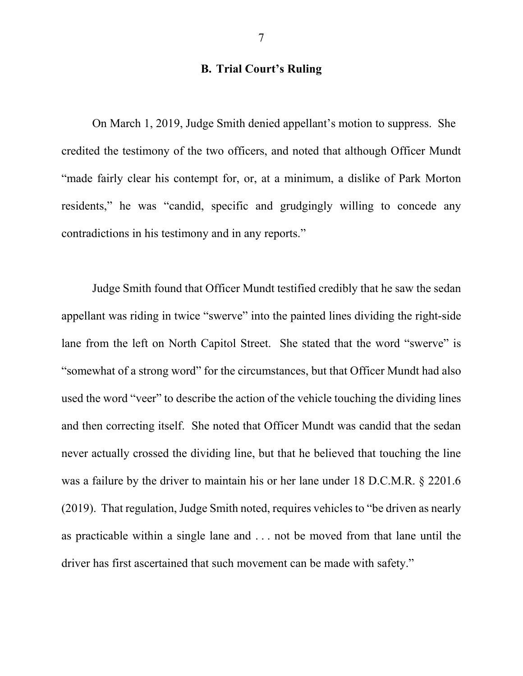## **B. Trial Court's Ruling**

On March 1, 2019, Judge Smith denied appellant's motion to suppress. She credited the testimony of the two officers, and noted that although Officer Mundt "made fairly clear his contempt for, or, at a minimum, a dislike of Park Morton residents," he was "candid, specific and grudgingly willing to concede any contradictions in his testimony and in any reports."

Judge Smith found that Officer Mundt testified credibly that he saw the sedan appellant was riding in twice "swerve" into the painted lines dividing the right-side lane from the left on North Capitol Street. She stated that the word "swerve" is "somewhat of a strong word" for the circumstances, but that Officer Mundt had also used the word "veer" to describe the action of the vehicle touching the dividing lines and then correcting itself. She noted that Officer Mundt was candid that the sedan never actually crossed the dividing line, but that he believed that touching the line was a failure by the driver to maintain his or her lane under 18 D.C.M.R. § 2201.6 (2019). That regulation, Judge Smith noted, requires vehicles to "be driven as nearly as practicable within a single lane and . . . not be moved from that lane until the driver has first ascertained that such movement can be made with safety."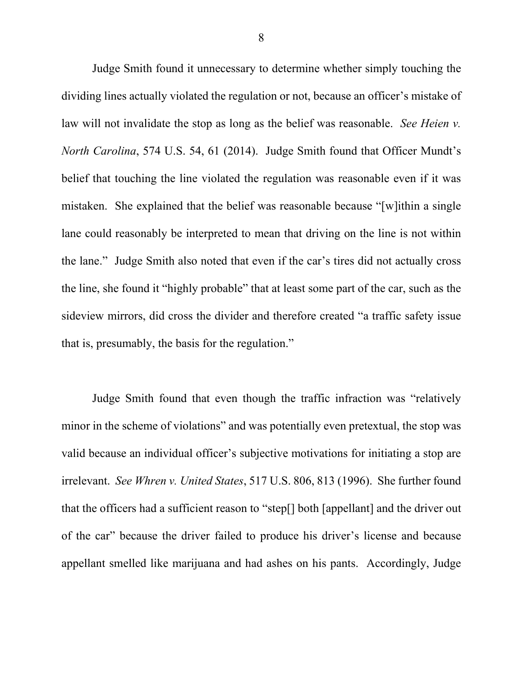Judge Smith found it unnecessary to determine whether simply touching the dividing lines actually violated the regulation or not, because an officer's mistake of law will not invalidate the stop as long as the belief was reasonable. *See Heien v. North Carolina*, 574 U.S. 54, 61 (2014). Judge Smith found that Officer Mundt's belief that touching the line violated the regulation was reasonable even if it was mistaken. She explained that the belief was reasonable because "[w]ithin a single lane could reasonably be interpreted to mean that driving on the line is not within the lane." Judge Smith also noted that even if the car's tires did not actually cross the line, she found it "highly probable" that at least some part of the car, such as the sideview mirrors, did cross the divider and therefore created "a traffic safety issue that is, presumably, the basis for the regulation."

Judge Smith found that even though the traffic infraction was "relatively minor in the scheme of violations" and was potentially even pretextual, the stop was valid because an individual officer's subjective motivations for initiating a stop are irrelevant. *See Whren v. United States*, 517 U.S. 806, 813 (1996). She further found that the officers had a sufficient reason to "step[] both [appellant] and the driver out of the car" because the driver failed to produce his driver's license and because appellant smelled like marijuana and had ashes on his pants. Accordingly, Judge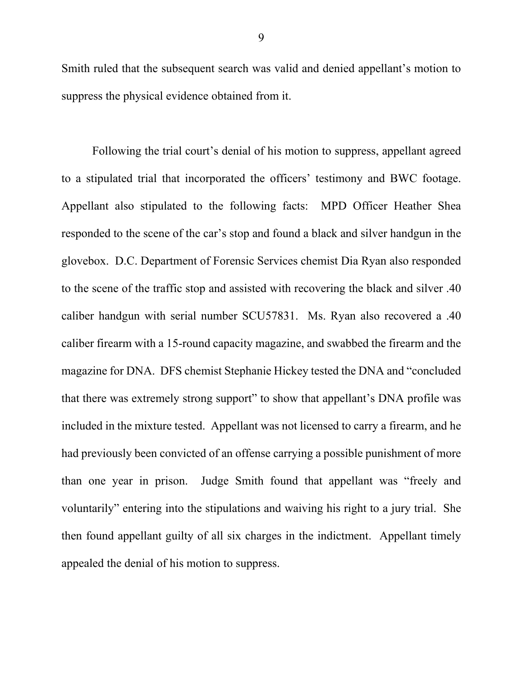Smith ruled that the subsequent search was valid and denied appellant's motion to suppress the physical evidence obtained from it.

Following the trial court's denial of his motion to suppress, appellant agreed to a stipulated trial that incorporated the officers' testimony and BWC footage. Appellant also stipulated to the following facts: MPD Officer Heather Shea responded to the scene of the car's stop and found a black and silver handgun in the glovebox. D.C. Department of Forensic Services chemist Dia Ryan also responded to the scene of the traffic stop and assisted with recovering the black and silver .40 caliber handgun with serial number SCU57831. Ms. Ryan also recovered a .40 caliber firearm with a 15-round capacity magazine, and swabbed the firearm and the magazine for DNA. DFS chemist Stephanie Hickey tested the DNA and "concluded that there was extremely strong support" to show that appellant's DNA profile was included in the mixture tested. Appellant was not licensed to carry a firearm, and he had previously been convicted of an offense carrying a possible punishment of more than one year in prison. Judge Smith found that appellant was "freely and voluntarily" entering into the stipulations and waiving his right to a jury trial. She then found appellant guilty of all six charges in the indictment. Appellant timely appealed the denial of his motion to suppress.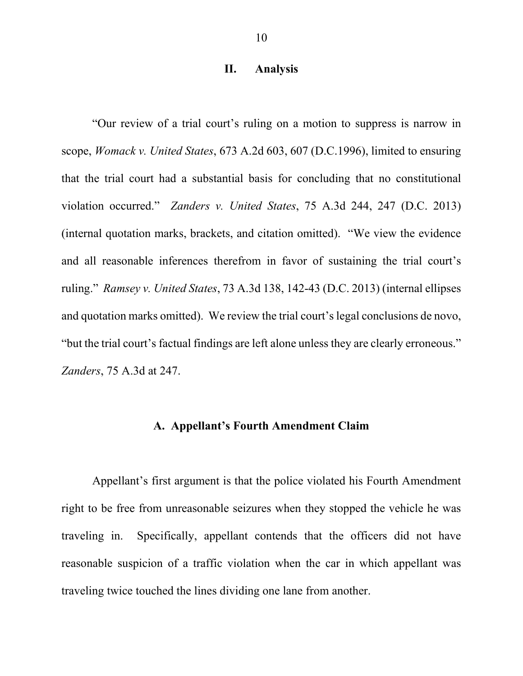### **II. Analysis**

"Our review of a trial court's ruling on a motion to suppress is narrow in scope, *Womack v. United States*, 673 A.2d 603, 607 (D.C.1996), limited to ensuring that the trial court had a substantial basis for concluding that no constitutional violation occurred." *Zanders v. United States*, 75 A.3d 244, 247 (D.C. 2013) (internal quotation marks, brackets, and citation omitted). "We view the evidence and all reasonable inferences therefrom in favor of sustaining the trial court's ruling." *Ramsey v. United States*, 73 A.3d 138, 142-43 (D.C. 2013) (internal ellipses and quotation marks omitted). We review the trial court's legal conclusions de novo, "but the trial court's factual findings are left alone unless they are clearly erroneous." *Zanders*, 75 A.3d at 247.

### **A. Appellant's Fourth Amendment Claim**

Appellant's first argument is that the police violated his Fourth Amendment right to be free from unreasonable seizures when they stopped the vehicle he was traveling in. Specifically, appellant contends that the officers did not have reasonable suspicion of a traffic violation when the car in which appellant was traveling twice touched the lines dividing one lane from another.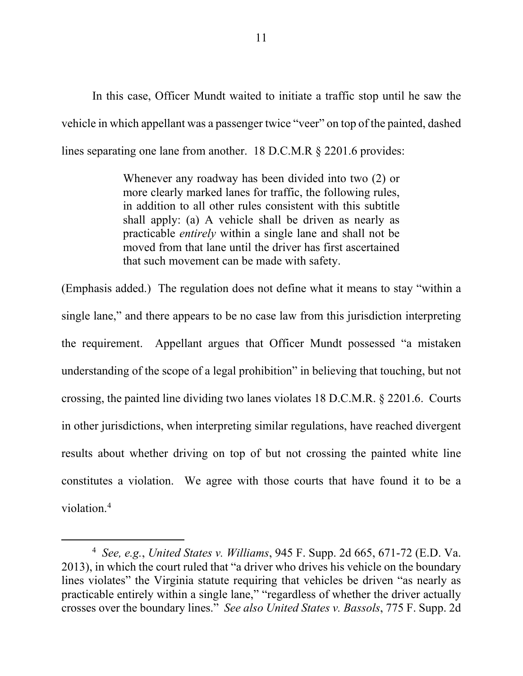In this case, Officer Mundt waited to initiate a traffic stop until he saw the vehicle in which appellant was a passenger twice "veer" on top of the painted, dashed lines separating one lane from another. 18 D.C.M.R § 2201.6 provides:

> Whenever any roadway has been divided into two (2) or more clearly marked lanes for traffic, the following rules, in addition to all other rules consistent with this subtitle shall apply: (a) A vehicle shall be driven as nearly as practicable *entirely* within a single lane and shall not be moved from that lane until the driver has first ascertained that such movement can be made with safety.

(Emphasis added.) The regulation does not define what it means to stay "within a single lane," and there appears to be no case law from this jurisdiction interpreting the requirement. Appellant argues that Officer Mundt possessed "a mistaken understanding of the scope of a legal prohibition" in believing that touching, but not crossing, the painted line dividing two lanes violates 18 D.C.M.R. § 2201.6. Courts in other jurisdictions, when interpreting similar regulations, have reached divergent results about whether driving on top of but not crossing the painted white line constitutes a violation. We agree with those courts that have found it to be a violation.4

<sup>4</sup> *See, e.g.*, *United States v. Williams*, 945 F. Supp. 2d 665, 671-72 (E.D. Va. 2013), in which the court ruled that "a driver who drives his vehicle on the boundary lines violates" the Virginia statute requiring that vehicles be driven "as nearly as practicable entirely within a single lane," "regardless of whether the driver actually crosses over the boundary lines." *See also United States v. Bassols*, 775 F. Supp. 2d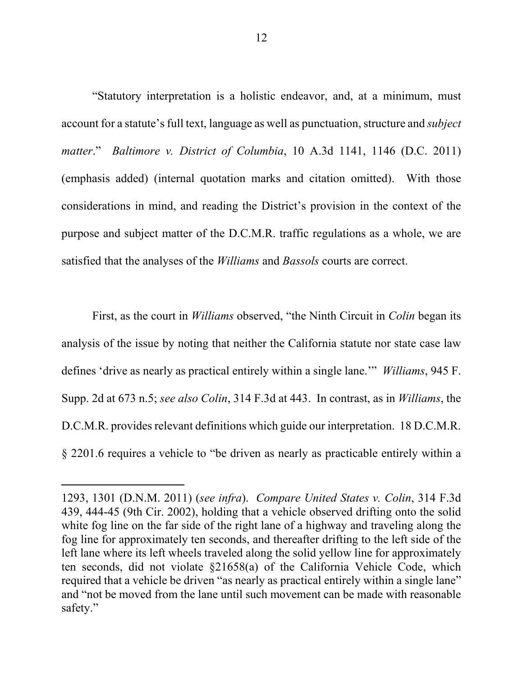"Statutory interpretation is a holistic endeavor, and, at a minimum, must account for a statute's full text, language as well as punctuation, structure and *subject matter*." *Baltimore v. District of Columbia*, 10 A.3d 1141, 1146 (D.C. 2011) (emphasis added) (internal quotation marks and citation omitted). With those considerations in mind, and reading the District's provision in the context of the purpose and subject matter of the D.C.M.R. traffic regulations as a whole, we are satisfied that the analyses of the *Williams* and *Bassols* courts are correct.

First, as the court in *Williams* observed, "the Ninth Circuit in *Colin* began its analysis of the issue by noting that neither the California statute nor state case law defines 'drive as nearly as practical entirely within a single lane.'" *Williams*, 945 F. Supp. 2d at 673 n.5; *see also Colin*, 314 F.3d at 443. In contrast, as in *Williams*, the D.C.M.R. provides relevant definitions which guide our interpretation. 18 D.C.M.R. § 2201.6 requires a vehicle to "be driven as nearly as practicable entirely within a

<sup>1293, 1301 (</sup>D.N.M. 2011) (*see infra*). *Compare United States v. Colin*, 314 F.3d 439, 444-45 (9th Cir. 2002), holding that a vehicle observed drifting onto the solid white fog line on the far side of the right lane of a highway and traveling along the fog line for approximately ten seconds, and thereafter drifting to the left side of the left lane where its left wheels traveled along the solid yellow line for approximately ten seconds, did not violate §21658(a) of the California Vehicle Code, which required that a vehicle be driven "as nearly as practical entirely within a single lane" and "not be moved from the lane until such movement can be made with reasonable safety."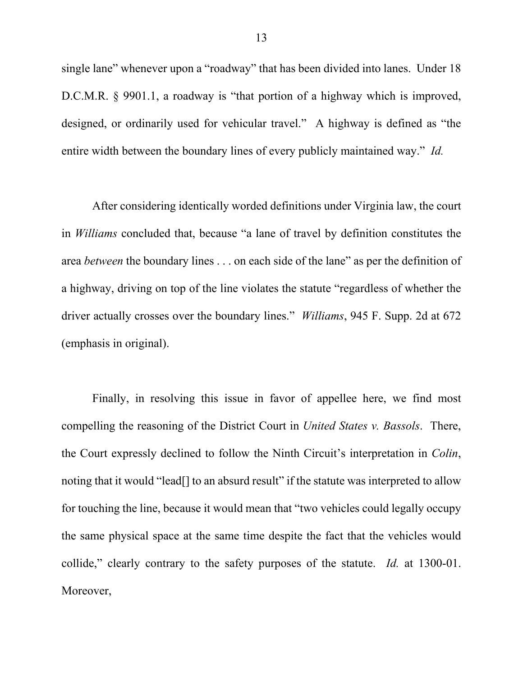single lane" whenever upon a "roadway" that has been divided into lanes. Under 18 D.C.M.R. § 9901.1, a roadway is "that portion of a highway which is improved, designed, or ordinarily used for vehicular travel." A highway is defined as "the entire width between the boundary lines of every publicly maintained way." *Id.*

After considering identically worded definitions under Virginia law, the court in *Williams* concluded that, because "a lane of travel by definition constitutes the area *between* the boundary lines . . . on each side of the lane" as per the definition of a highway, driving on top of the line violates the statute "regardless of whether the driver actually crosses over the boundary lines." *Williams*, 945 F. Supp. 2d at 672 (emphasis in original).

Finally, in resolving this issue in favor of appellee here, we find most compelling the reasoning of the District Court in *United States v. Bassols*. There, the Court expressly declined to follow the Ninth Circuit's interpretation in *Colin*, noting that it would "lead[] to an absurd result" if the statute was interpreted to allow for touching the line, because it would mean that "two vehicles could legally occupy the same physical space at the same time despite the fact that the vehicles would collide," clearly contrary to the safety purposes of the statute. *Id.* at 1300-01. Moreover,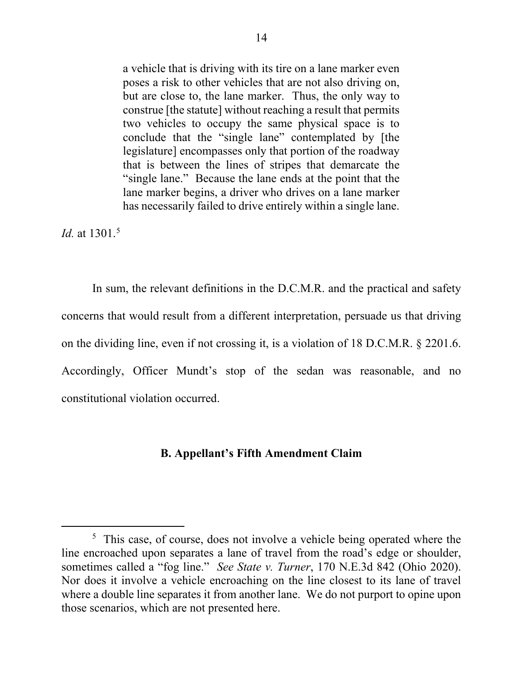a vehicle that is driving with its tire on a lane marker even poses a risk to other vehicles that are not also driving on, but are close to, the lane marker. Thus, the only way to construe [the statute] without reaching a result that permits two vehicles to occupy the same physical space is to conclude that the "single lane" contemplated by [the legislature] encompasses only that portion of the roadway that is between the lines of stripes that demarcate the "single lane." Because the lane ends at the point that the lane marker begins, a driver who drives on a lane marker has necessarily failed to drive entirely within a single lane.

*Id.* at 1301.<sup>5</sup>

In sum, the relevant definitions in the D.C.M.R. and the practical and safety concerns that would result from a different interpretation, persuade us that driving on the dividing line, even if not crossing it, is a violation of 18 D.C.M.R. § 2201.6. Accordingly, Officer Mundt's stop of the sedan was reasonable, and no constitutional violation occurred.

#### **B. Appellant's Fifth Amendment Claim**

<sup>&</sup>lt;sup>5</sup> This case, of course, does not involve a vehicle being operated where the line encroached upon separates a lane of travel from the road's edge or shoulder, sometimes called a "fog line." *See State v. Turner*, 170 N.E.3d 842 (Ohio 2020). Nor does it involve a vehicle encroaching on the line closest to its lane of travel where a double line separates it from another lane. We do not purport to opine upon those scenarios, which are not presented here.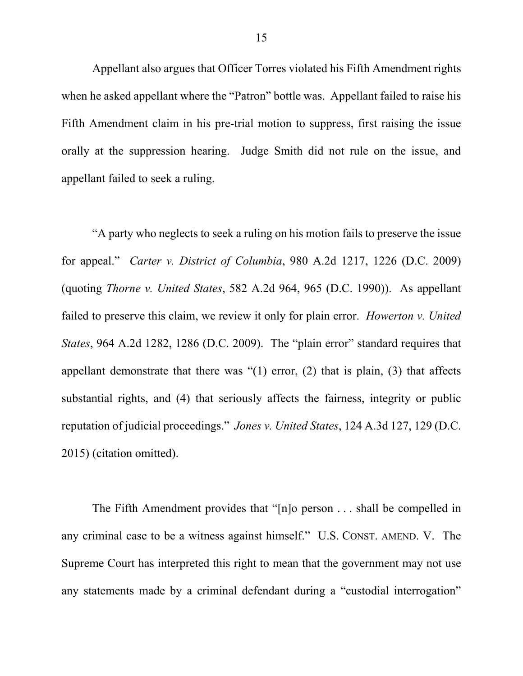Appellant also argues that Officer Torres violated his Fifth Amendment rights when he asked appellant where the "Patron" bottle was. Appellant failed to raise his Fifth Amendment claim in his pre-trial motion to suppress, first raising the issue orally at the suppression hearing. Judge Smith did not rule on the issue, and appellant failed to seek a ruling.

"A party who neglects to seek a ruling on his motion fails to preserve the issue for appeal." *Carter v. District of Columbia*, 980 A.2d 1217, 1226 (D.C. 2009) (quoting *Thorne v. United States*, 582 A.2d 964, 965 (D.C. 1990)). As appellant failed to preserve this claim, we review it only for plain error. *Howerton v. United States*, 964 A.2d 1282, 1286 (D.C. 2009). The "plain error" standard requires that appellant demonstrate that there was "(1) error, (2) that is plain, (3) that affects substantial rights, and (4) that seriously affects the fairness, integrity or public reputation of judicial proceedings." *Jones v. United States*, 124 A.3d 127, 129 (D.C. 2015) (citation omitted).

The Fifth Amendment provides that "[n]o person . . . shall be compelled in any criminal case to be a witness against himself." U.S. CONST. AMEND. V. The Supreme Court has interpreted this right to mean that the government may not use any statements made by a criminal defendant during a "custodial interrogation"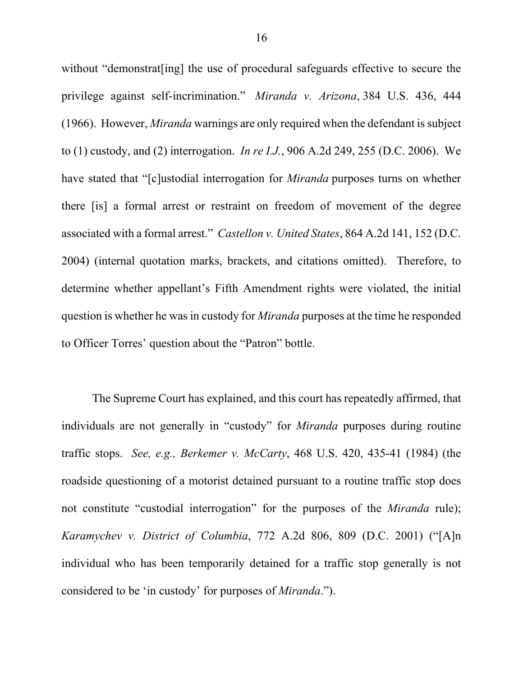without "demonstrat [ing] the use of procedural safeguards effective to secure the privilege against self-incrimination." *Miranda v. Arizona*, 384 U.S. 436, 444 (1966). However, *Miranda* warnings are only required when the defendant is subject to (1) custody, and (2) interrogation. *In re I.J.*, 906 A.2d 249, 255 (D.C. 2006). We have stated that "[c]ustodial interrogation for *Miranda* purposes turns on whether there [is] a formal arrest or restraint on freedom of movement of the degree associated with a formal arrest." *Castellon v. United States*, 864 A.2d 141, 152 (D.C. 2004) (internal quotation marks, brackets, and citations omitted). Therefore, to determine whether appellant's Fifth Amendment rights were violated, the initial question is whether he was in custody for *Miranda* purposes at the time he responded to Officer Torres' question about the "Patron" bottle.

The Supreme Court has explained, and this court has repeatedly affirmed, that individuals are not generally in "custody" for *Miranda* purposes during routine traffic stops. *See, e.g., Berkemer v. McCarty*, 468 U.S. 420, 435-41 (1984) (the roadside questioning of a motorist detained pursuant to a routine traffic stop does not constitute "custodial interrogation" for the purposes of the *Miranda* rule); *Karamychev v. District of Columbia*, 772 A.2d 806, 809 (D.C. 2001) ("[A]n individual who has been temporarily detained for a traffic stop generally is not considered to be 'in custody' for purposes of *Miranda*.").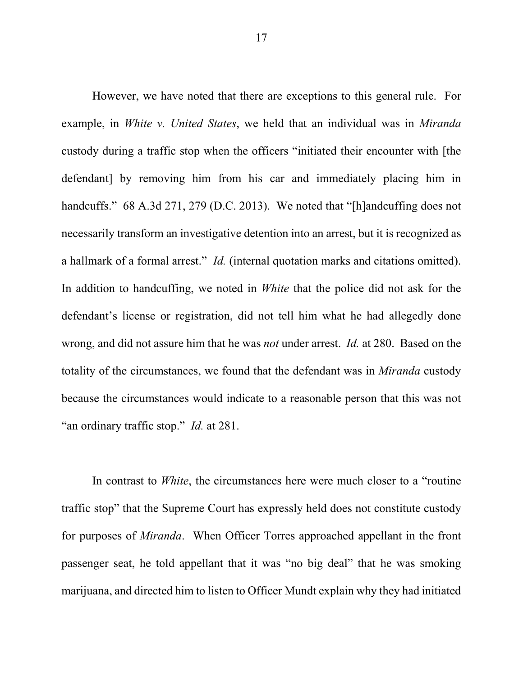However, we have noted that there are exceptions to this general rule. For example, in *White v. United States*, we held that an individual was in *Miranda* custody during a traffic stop when the officers "initiated their encounter with [the defendant] by removing him from his car and immediately placing him in handcuffs." 68 A.3d 271, 279 (D.C. 2013). We noted that "[h]andcuffing does not necessarily transform an investigative detention into an arrest, but it is recognized as a hallmark of a formal arrest." *Id.* (internal quotation marks and citations omitted). In addition to handcuffing, we noted in *White* that the police did not ask for the defendant's license or registration, did not tell him what he had allegedly done wrong, and did not assure him that he was *not* under arrest. *Id.* at 280. Based on the totality of the circumstances, we found that the defendant was in *Miranda* custody because the circumstances would indicate to a reasonable person that this was not "an ordinary traffic stop." *Id.* at 281.

In contrast to *White*, the circumstances here were much closer to a "routine traffic stop" that the Supreme Court has expressly held does not constitute custody for purposes of *Miranda*. When Officer Torres approached appellant in the front passenger seat, he told appellant that it was "no big deal" that he was smoking marijuana, and directed him to listen to Officer Mundt explain why they had initiated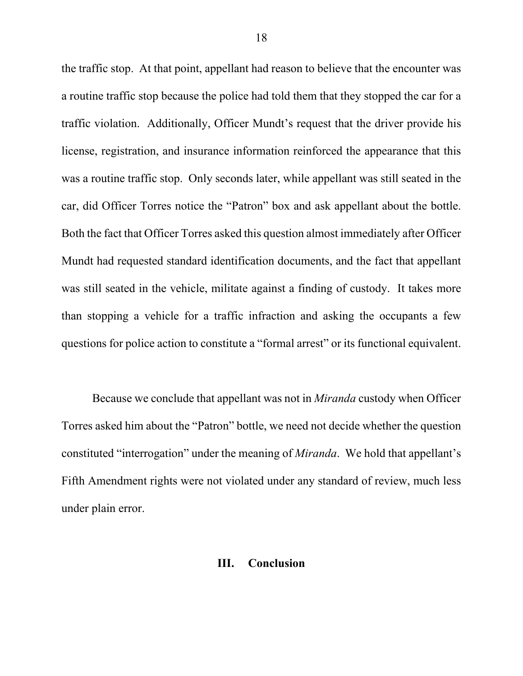the traffic stop. At that point, appellant had reason to believe that the encounter was a routine traffic stop because the police had told them that they stopped the car for a traffic violation. Additionally, Officer Mundt's request that the driver provide his license, registration, and insurance information reinforced the appearance that this was a routine traffic stop. Only seconds later, while appellant was still seated in the car, did Officer Torres notice the "Patron" box and ask appellant about the bottle. Both the fact that Officer Torres asked this question almost immediately after Officer Mundt had requested standard identification documents, and the fact that appellant was still seated in the vehicle, militate against a finding of custody. It takes more than stopping a vehicle for a traffic infraction and asking the occupants a few questions for police action to constitute a "formal arrest" or its functional equivalent.

Because we conclude that appellant was not in *Miranda* custody when Officer Torres asked him about the "Patron" bottle, we need not decide whether the question constituted "interrogation" under the meaning of *Miranda*. We hold that appellant's Fifth Amendment rights were not violated under any standard of review, much less under plain error.

# **III. Conclusion**